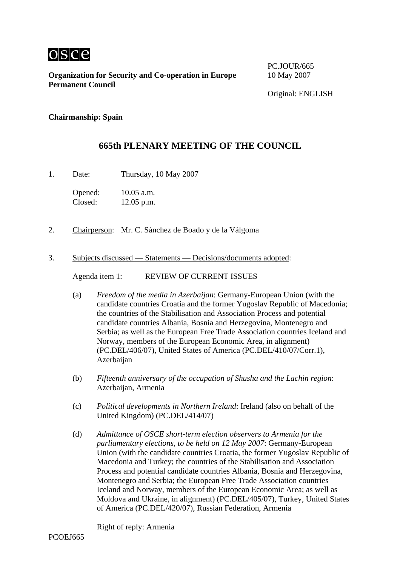

**Organization for Security and Co-operation in Europe** 10 May 2007 **Permanent Council** 

PC.JOUR/665

## **Chairmanship: Spain**

## **665th PLENARY MEETING OF THE COUNCIL**

1. Date: Thursday, 10 May 2007

Opened: 10.05 a.m. Closed: 12.05 p.m.

- 2. Chairperson: Mr. C. Sánchez de Boado y de la Válgoma
- 3. Subjects discussed Statements Decisions/documents adopted:

Agenda item 1: REVIEW OF CURRENT ISSUES

- (a) *Freedom of the media in Azerbaijan*: Germany-European Union (with the candidate countries Croatia and the former Yugoslav Republic of Macedonia; the countries of the Stabilisation and Association Process and potential candidate countries Albania, Bosnia and Herzegovina, Montenegro and Serbia; as well as the European Free Trade Association countries Iceland and Norway, members of the European Economic Area, in alignment) (PC.DEL/406/07), United States of America (PC.DEL/410/07/Corr.1), Azerbaijan
- (b) *Fifteenth anniversary of the occupation of Shusha and the Lachin region*: Azerbaijan, Armenia
- (c) *Political developments in Northern Ireland*: Ireland (also on behalf of the United Kingdom) (PC.DEL/414/07)
- (d) *Admittance of OSCE short-term election observers to Armenia for the parliamentary elections, to be held on 12 May 2007*: Germany-European Union (with the candidate countries Croatia, the former Yugoslav Republic of Macedonia and Turkey; the countries of the Stabilisation and Association Process and potential candidate countries Albania, Bosnia and Herzegovina, Montenegro and Serbia; the European Free Trade Association countries Iceland and Norway, members of the European Economic Area; as well as Moldova and Ukraine, in alignment) (PC.DEL/405/07), Turkey, United States of America (PC.DEL/420/07), Russian Federation, Armenia

Right of reply: Armenia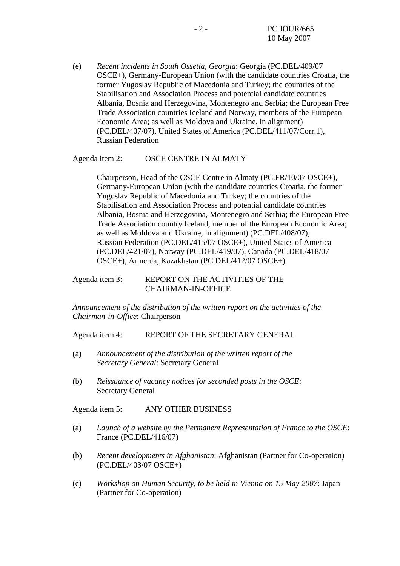(e) *Recent incidents in South Ossetia, Georgia*: Georgia (PC.DEL/409/07 OSCE+), Germany-European Union (with the candidate countries Croatia, the former Yugoslav Republic of Macedonia and Turkey; the countries of the Stabilisation and Association Process and potential candidate countries Albania, Bosnia and Herzegovina, Montenegro and Serbia; the European Free Trade Association countries Iceland and Norway, members of the European Economic Area; as well as Moldova and Ukraine, in alignment) (PC.DEL/407/07), United States of America (PC.DEL/411/07/Corr.1), Russian Federation

## Agenda item 2: OSCE CENTRE IN ALMATY

Chairperson, Head of the OSCE Centre in Almaty (PC.FR/10/07 OSCE+), Germany-European Union (with the candidate countries Croatia, the former Yugoslav Republic of Macedonia and Turkey; the countries of the Stabilisation and Association Process and potential candidate countries Albania, Bosnia and Herzegovina, Montenegro and Serbia; the European Free Trade Association country Iceland, member of the European Economic Area; as well as Moldova and Ukraine, in alignment) (PC.DEL/408/07), Russian Federation (PC.DEL/415/07 OSCE+), United States of America (PC.DEL/421/07), Norway (PC.DEL/419/07), Canada (PC.DEL/418/07 OSCE+), Armenia, Kazakhstan (PC.DEL/412/07 OSCE+)

## Agenda item 3: REPORT ON THE ACTIVITIES OF THE CHAIRMAN-IN-OFFICE

*Announcement of the distribution of the written report on the activities of the Chairman-in-Office*: Chairperson

Agenda item 4: REPORT OF THE SECRETARY GENERAL

- (a) *Announcement of the distribution of the written report of the Secretary General*: Secretary General
- (b) *Reissuance of vacancy notices for seconded posts in the OSCE*: Secretary General

Agenda item 5: ANY OTHER BUSINESS

- (a) *Launch of a website by the Permanent Representation of France to the OSCE*: France (PC.DEL/416/07)
- (b) *Recent developments in Afghanistan*: Afghanistan (Partner for Co-operation) (PC.DEL/403/07 OSCE+)
- (c) *Workshop on Human Security, to be held in Vienna on 15 May 2007*: Japan (Partner for Co-operation)